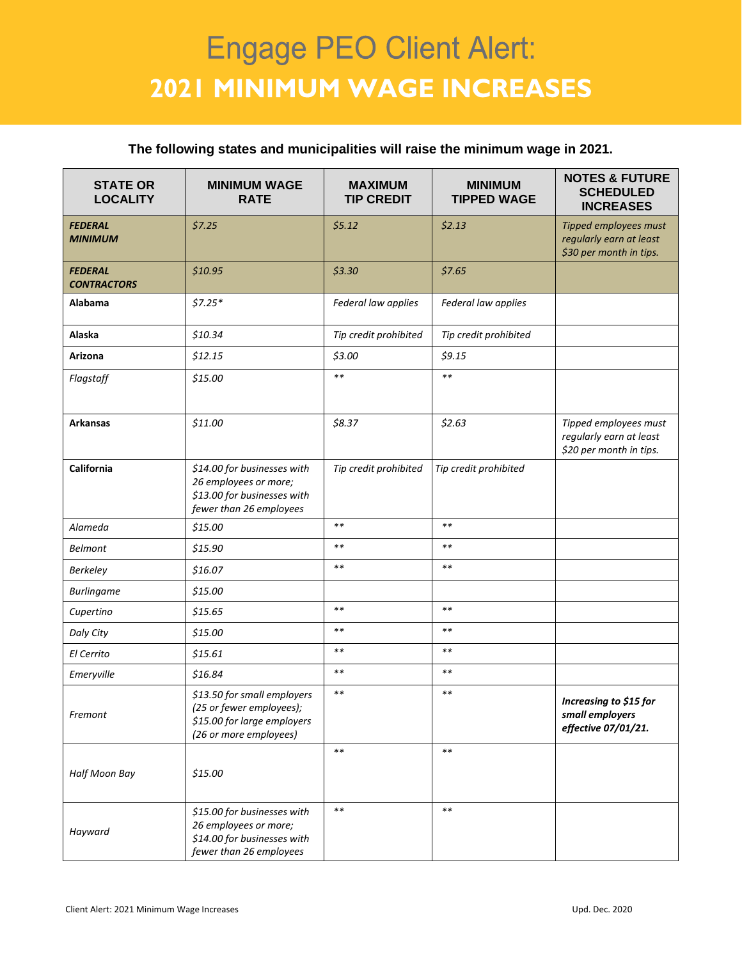## **Engage PEO Client Alert: 2021 MINIMUM WAGE INCREASES**

## **The following states and municipalities will raise the minimum wage in 2021.**

| <b>STATE OR</b><br><b>LOCALITY</b>   | <b>MINIMUM WAGE</b><br><b>RATE</b>                                                                               | <b>MAXIMUM</b><br><b>TIP CREDIT</b> | <b>MINIMUM</b><br><b>TIPPED WAGE</b> | <b>NOTES &amp; FUTURE</b><br><b>SCHEDULED</b><br><b>INCREASES</b>           |
|--------------------------------------|------------------------------------------------------------------------------------------------------------------|-------------------------------------|--------------------------------------|-----------------------------------------------------------------------------|
| <b>FEDERAL</b><br><b>MINIMUM</b>     | \$7.25                                                                                                           | \$5.12                              | \$2.13                               | Tipped employees must<br>regularly earn at least<br>\$30 per month in tips. |
| <b>FEDERAL</b><br><b>CONTRACTORS</b> | \$10.95                                                                                                          | \$3.30                              | \$7.65                               |                                                                             |
| Alabama                              | $$7.25*$                                                                                                         | Federal law applies                 | Federal law applies                  |                                                                             |
| Alaska                               | \$10.34                                                                                                          | Tip credit prohibited               | Tip credit prohibited                |                                                                             |
| Arizona                              | \$12.15                                                                                                          | \$3.00                              | \$9.15                               |                                                                             |
| Flagstaff                            | \$15.00                                                                                                          | $**$                                | $\ast\ast$                           |                                                                             |
| <b>Arkansas</b>                      | \$11.00                                                                                                          | \$8.37                              | \$2.63                               | Tipped employees must<br>regularly earn at least<br>\$20 per month in tips. |
| California                           | \$14.00 for businesses with<br>26 employees or more;<br>\$13.00 for businesses with<br>fewer than 26 employees   | Tip credit prohibited               | Tip credit prohibited                |                                                                             |
| Alameda                              | \$15.00                                                                                                          | $**$                                | $\ast\ast$                           |                                                                             |
| <b>Belmont</b>                       | \$15.90                                                                                                          | $***$                               | $* *$                                |                                                                             |
| <b>Berkeley</b>                      | \$16.07                                                                                                          | $**$                                | $\ast\ast$                           |                                                                             |
| <b>Burlingame</b>                    | \$15.00                                                                                                          |                                     |                                      |                                                                             |
| Cupertino                            | \$15.65                                                                                                          | $**$                                | $\ast\ast$                           |                                                                             |
| Daly City                            | \$15.00                                                                                                          | $**$                                | $* *$                                |                                                                             |
| El Cerrito                           | \$15.61                                                                                                          | $***$                               | $\ast\ast$                           |                                                                             |
| Emeryville                           | \$16.84                                                                                                          | $***$                               | $* *$                                |                                                                             |
| Fremont                              | \$13.50 for small employers<br>(25 or fewer employees);<br>\$15.00 for large employers<br>(26 or more employees) | $* *$                               | $* *$                                | Increasing to \$15 for<br>small employers<br>effective 07/01/21.            |
| Half Moon Bay                        | \$15.00                                                                                                          | $\ast\ast$                          | $\ast\ast$                           |                                                                             |
| Hayward                              | \$15.00 for businesses with<br>26 employees or more;<br>\$14.00 for businesses with<br>fewer than 26 employees   | $***$                               | $\ast\ast$                           |                                                                             |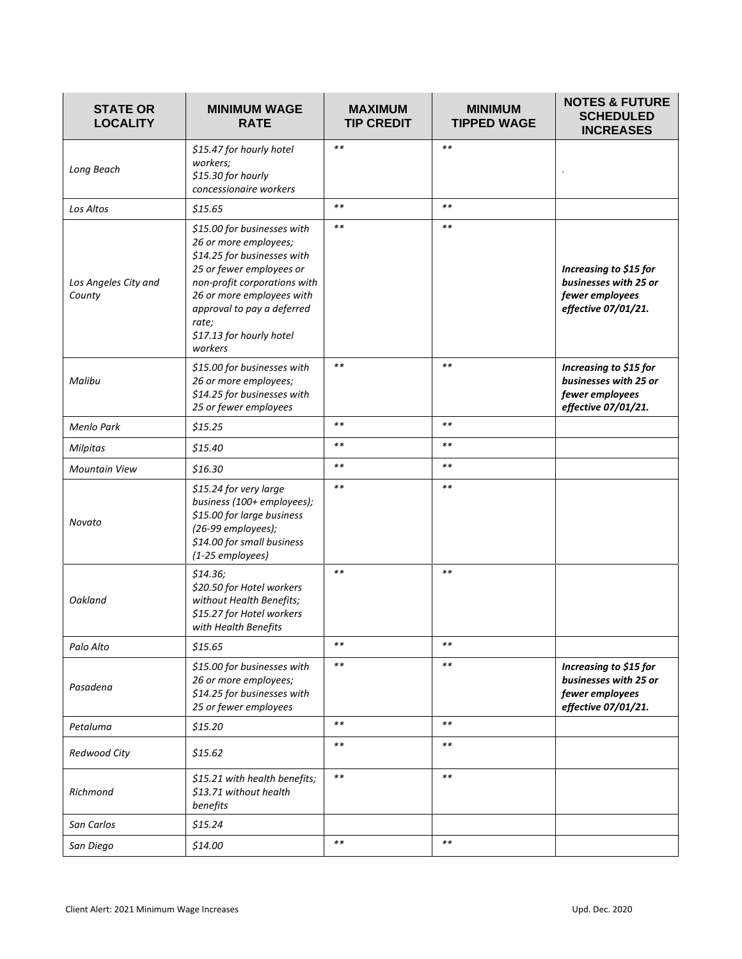| <b>STATE OR</b><br><b>LOCALITY</b> | <b>MINIMUM WAGE</b><br><b>RATE</b>                                                                                                                                                                                                                         | <b>MAXIMUM</b><br><b>TIP CREDIT</b> | <b>MINIMUM</b><br><b>TIPPED WAGE</b> | <b>NOTES &amp; FUTURE</b><br><b>SCHEDULED</b><br><b>INCREASES</b>                         |
|------------------------------------|------------------------------------------------------------------------------------------------------------------------------------------------------------------------------------------------------------------------------------------------------------|-------------------------------------|--------------------------------------|-------------------------------------------------------------------------------------------|
| Long Beach                         | \$15.47 for hourly hotel<br>workers;<br>\$15.30 for hourly<br>concessionaire workers                                                                                                                                                                       | $**$                                | $**$                                 |                                                                                           |
| Los Altos                          | \$15.65                                                                                                                                                                                                                                                    | $**$                                | $**$                                 |                                                                                           |
| Los Angeles City and<br>County     | \$15.00 for businesses with<br>26 or more employees;<br>\$14.25 for businesses with<br>25 or fewer employees or<br>non-profit corporations with<br>26 or more employees with<br>approval to pay a deferred<br>rate;<br>\$17.13 for hourly hotel<br>workers | $***$                               | $\ast\ast$                           | Increasing to \$15 for<br>businesses with 25 or<br>fewer employees<br>effective 07/01/21. |
| Malibu                             | \$15.00 for businesses with<br>26 or more employees;<br>\$14.25 for businesses with<br>25 or fewer employees                                                                                                                                               | $***$                               | $**$                                 | Increasing to \$15 for<br>businesses with 25 or<br>fewer employees<br>effective 07/01/21. |
| Menlo Park                         | \$15.25                                                                                                                                                                                                                                                    | $**$                                | $\ast\ast$                           |                                                                                           |
| <b>Milpitas</b>                    | \$15.40                                                                                                                                                                                                                                                    | $**$                                | $\ast\ast$                           |                                                                                           |
| <b>Mountain View</b>               | \$16.30                                                                                                                                                                                                                                                    | $**$                                | $\ast\ast$                           |                                                                                           |
| Novato                             | \$15.24 for very large<br>business (100+ employees);<br>\$15.00 for large business<br>(26-99 employees);<br>\$14.00 for small business<br>(1-25 employees)                                                                                                 | $***$                               | $* *$                                |                                                                                           |
| Oakland                            | \$14.36;<br>\$20.50 for Hotel workers<br>without Health Benefits;<br>\$15.27 for Hotel workers<br>with Health Benefits                                                                                                                                     | $***$                               | $***$                                |                                                                                           |
| Palo Alto                          | \$15.65                                                                                                                                                                                                                                                    | $* *$                               | $* *$                                |                                                                                           |
| Pasadena                           | \$15.00 for businesses with<br>26 or more employees;<br>\$14.25 for businesses with<br>25 or fewer employees                                                                                                                                               | $**$                                | $\ast\ast$                           | Increasing to \$15 for<br>businesses with 25 or<br>fewer employees<br>effective 07/01/21. |
| Petaluma                           | \$15.20                                                                                                                                                                                                                                                    | $**$                                | $\ast\ast$                           |                                                                                           |
| Redwood City                       | \$15.62                                                                                                                                                                                                                                                    | $* *$                               | $* *$                                |                                                                                           |
| Richmond                           | \$15.21 with health benefits;<br>\$13.71 without health<br>benefits                                                                                                                                                                                        | $\ast\ast$                          | $\ast\ast$                           |                                                                                           |
| San Carlos                         | \$15.24                                                                                                                                                                                                                                                    |                                     |                                      |                                                                                           |
| San Diego                          | \$14.00                                                                                                                                                                                                                                                    | $***$                               | $* *$                                |                                                                                           |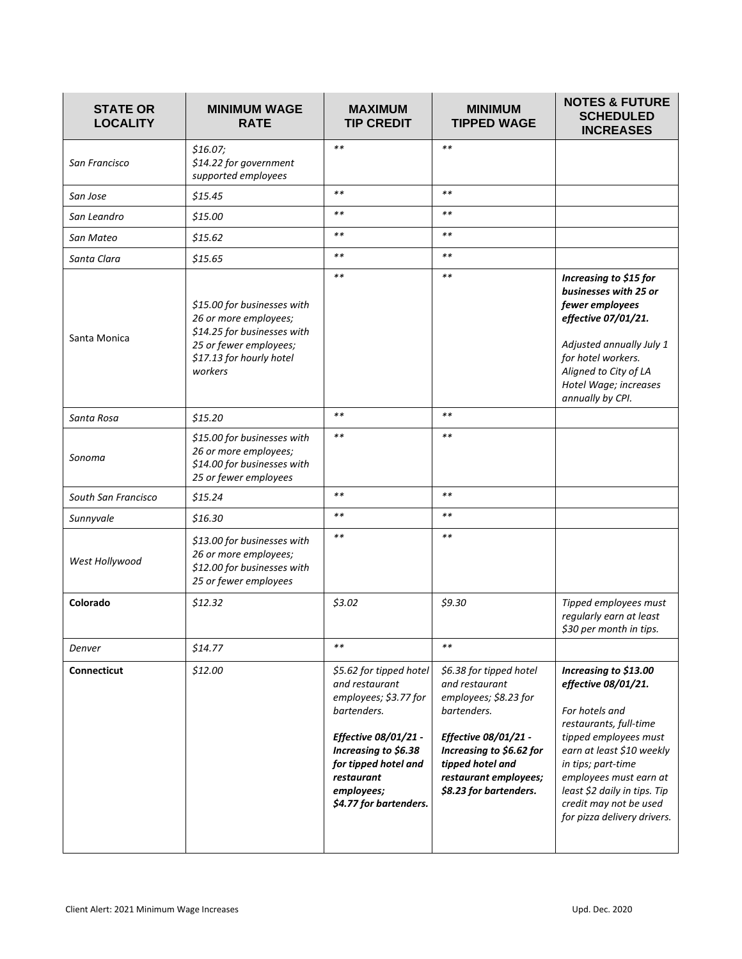| <b>STATE OR</b><br><b>LOCALITY</b> | <b>MINIMUM WAGE</b><br><b>RATE</b>                                                                                                                   | <b>MAXIMUM</b><br><b>TIP CREDIT</b>                                                                                                                                                                             | <b>MINIMUM</b><br><b>TIPPED WAGE</b>                                                                                                                                                                         | <b>NOTES &amp; FUTURE</b><br><b>SCHEDULED</b><br><b>INCREASES</b>                                                                                                                                                                                                                       |
|------------------------------------|------------------------------------------------------------------------------------------------------------------------------------------------------|-----------------------------------------------------------------------------------------------------------------------------------------------------------------------------------------------------------------|--------------------------------------------------------------------------------------------------------------------------------------------------------------------------------------------------------------|-----------------------------------------------------------------------------------------------------------------------------------------------------------------------------------------------------------------------------------------------------------------------------------------|
| San Francisco                      | \$16.07;<br>\$14.22 for government<br>supported employees                                                                                            | $**$                                                                                                                                                                                                            | $**$                                                                                                                                                                                                         |                                                                                                                                                                                                                                                                                         |
| San Jose                           | \$15.45                                                                                                                                              | $**$                                                                                                                                                                                                            | $**$                                                                                                                                                                                                         |                                                                                                                                                                                                                                                                                         |
| San Leandro                        | \$15.00                                                                                                                                              | $**$                                                                                                                                                                                                            | $**$                                                                                                                                                                                                         |                                                                                                                                                                                                                                                                                         |
| San Mateo                          | \$15.62                                                                                                                                              | $**$                                                                                                                                                                                                            | $\ast\ast$                                                                                                                                                                                                   |                                                                                                                                                                                                                                                                                         |
| Santa Clara                        | \$15.65                                                                                                                                              | $**$                                                                                                                                                                                                            | $\ast\ast$                                                                                                                                                                                                   |                                                                                                                                                                                                                                                                                         |
| Santa Monica                       | \$15.00 for businesses with<br>26 or more employees;<br>\$14.25 for businesses with<br>25 or fewer employees;<br>\$17.13 for hourly hotel<br>workers | $**$                                                                                                                                                                                                            | $**$                                                                                                                                                                                                         | Increasing to \$15 for<br>businesses with 25 or<br>fewer employees<br>effective 07/01/21.<br>Adjusted annually July 1<br>for hotel workers.<br>Aligned to City of LA<br>Hotel Wage; increases<br>annually by CPI.                                                                       |
| Santa Rosa                         | \$15.20                                                                                                                                              | $**$                                                                                                                                                                                                            | $**$                                                                                                                                                                                                         |                                                                                                                                                                                                                                                                                         |
| Sonoma                             | \$15.00 for businesses with<br>26 or more employees;<br>\$14.00 for businesses with<br>25 or fewer employees                                         | $**$                                                                                                                                                                                                            | $***$                                                                                                                                                                                                        |                                                                                                                                                                                                                                                                                         |
| South San Francisco                | \$15.24                                                                                                                                              | $**$                                                                                                                                                                                                            | $**$                                                                                                                                                                                                         |                                                                                                                                                                                                                                                                                         |
| Sunnyvale                          | \$16.30                                                                                                                                              | $**$                                                                                                                                                                                                            | $***$                                                                                                                                                                                                        |                                                                                                                                                                                                                                                                                         |
| West Hollywood                     | \$13.00 for businesses with<br>26 or more employees;<br>\$12.00 for businesses with<br>25 or fewer employees                                         | $**$                                                                                                                                                                                                            | $\ast\ast$                                                                                                                                                                                                   |                                                                                                                                                                                                                                                                                         |
| Colorado                           | \$12.32                                                                                                                                              | \$3.02                                                                                                                                                                                                          | \$9.30                                                                                                                                                                                                       | Tipped employees must<br>regularly earn at least<br>\$30 per month in tips.                                                                                                                                                                                                             |
| Denver                             | \$14.77                                                                                                                                              | $***$                                                                                                                                                                                                           | $* *$                                                                                                                                                                                                        |                                                                                                                                                                                                                                                                                         |
| Connecticut                        | \$12.00                                                                                                                                              | \$5.62 for tipped hotel<br>and restaurant<br>employees; \$3.77 for<br>bartenders.<br>Effective 08/01/21 -<br>Increasing to \$6.38<br>for tipped hotel and<br>restaurant<br>employees;<br>\$4.77 for bartenders. | \$6.38 for tipped hotel<br>and restaurant<br>employees; \$8.23 for<br>bartenders.<br>Effective 08/01/21 -<br>Increasing to \$6.62 for<br>tipped hotel and<br>restaurant employees;<br>\$8.23 for bartenders. | Increasing to \$13.00<br>effective 08/01/21.<br>For hotels and<br>restaurants, full-time<br>tipped employees must<br>earn at least \$10 weekly<br>in tips; part-time<br>employees must earn at<br>least \$2 daily in tips. Tip<br>credit may not be used<br>for pizza delivery drivers. |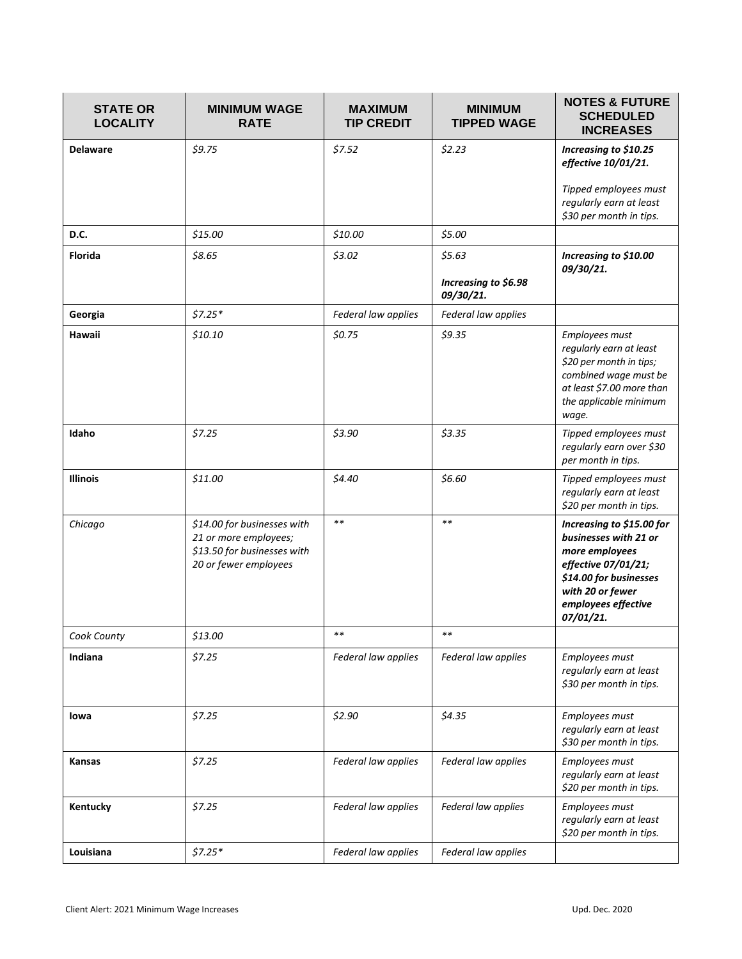| <b>STATE OR</b><br><b>LOCALITY</b> | <b>MINIMUM WAGE</b><br><b>RATE</b>                                                                           | <b>MAXIMUM</b><br><b>TIP CREDIT</b> | <b>MINIMUM</b><br><b>TIPPED WAGE</b>        | <b>NOTES &amp; FUTURE</b><br><b>SCHEDULED</b><br><b>INCREASES</b>                                                                                                             |
|------------------------------------|--------------------------------------------------------------------------------------------------------------|-------------------------------------|---------------------------------------------|-------------------------------------------------------------------------------------------------------------------------------------------------------------------------------|
| <b>Delaware</b>                    | \$9.75                                                                                                       | \$7.52                              | \$2.23                                      | Increasing to \$10.25<br>effective 10/01/21.<br>Tipped employees must<br>regularly earn at least<br>\$30 per month in tips.                                                   |
| D.C.                               | \$15.00                                                                                                      | \$10.00                             | \$5.00                                      |                                                                                                                                                                               |
| Florida                            | \$8.65                                                                                                       | \$3.02                              | \$5.63<br>Increasing to \$6.98<br>09/30/21. | Increasing to \$10.00<br>09/30/21.                                                                                                                                            |
| Georgia                            | $$7.25*$                                                                                                     | Federal law applies                 | Federal law applies                         |                                                                                                                                                                               |
| Hawaii                             | \$10.10                                                                                                      | \$0.75                              | \$9.35                                      | Employees must<br>regularly earn at least<br>\$20 per month in tips;<br>combined wage must be<br>at least \$7.00 more than<br>the applicable minimum<br>wage.                 |
| Idaho                              | \$7.25                                                                                                       | \$3.90                              | \$3.35                                      | Tipped employees must<br>regularly earn over \$30<br>per month in tips.                                                                                                       |
| <b>Illinois</b>                    | \$11.00                                                                                                      | \$4.40                              | \$6.60                                      | Tipped employees must<br>regularly earn at least<br>\$20 per month in tips.                                                                                                   |
| Chicago                            | \$14.00 for businesses with<br>21 or more employees;<br>\$13.50 for businesses with<br>20 or fewer employees | $***$                               | $***$                                       | Increasing to \$15.00 for<br>businesses with 21 or<br>more employees<br>effective 07/01/21;<br>\$14.00 for businesses<br>with 20 or fewer<br>employees effective<br>07/01/21. |
| Cook County                        | \$13.00                                                                                                      | **                                  | $\ast\ast$                                  |                                                                                                                                                                               |
| Indiana                            | \$7.25                                                                                                       | Federal law applies                 | Federal law applies                         | Employees must<br>regularly earn at least<br>\$30 per month in tips.                                                                                                          |
| lowa                               | \$7.25                                                                                                       | \$2.90                              | \$4.35                                      | Employees must<br>regularly earn at least<br>\$30 per month in tips.                                                                                                          |
| <b>Kansas</b>                      | \$7.25                                                                                                       | Federal law applies                 | Federal law applies                         | Employees must<br>regularly earn at least<br>\$20 per month in tips.                                                                                                          |
| Kentucky                           | \$7.25                                                                                                       | Federal law applies                 | Federal law applies                         | Employees must<br>regularly earn at least<br>\$20 per month in tips.                                                                                                          |
| Louisiana                          | $$7.25*$                                                                                                     | Federal law applies                 | Federal law applies                         |                                                                                                                                                                               |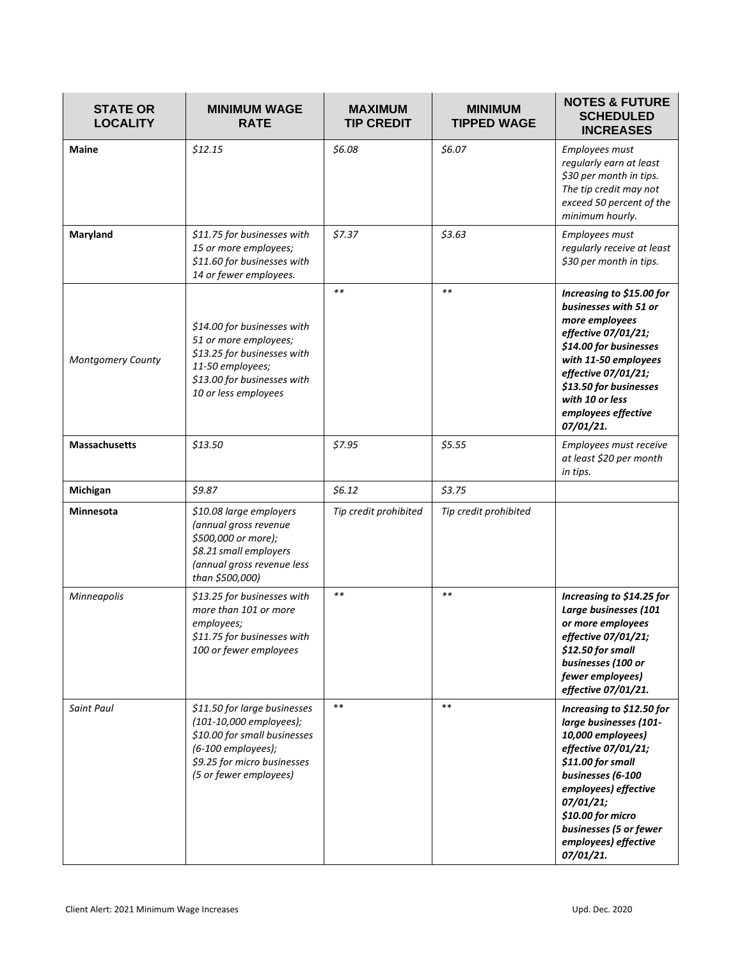| <b>STATE OR</b><br><b>LOCALITY</b> | <b>MINIMUM WAGE</b><br><b>RATE</b>                                                                                                                                     | <b>MAXIMUM</b><br><b>TIP CREDIT</b> | <b>MINIMUM</b><br><b>TIPPED WAGE</b> | <b>NOTES &amp; FUTURE</b><br><b>SCHEDULED</b><br><b>INCREASES</b>                                                                                                                                                                                                  |
|------------------------------------|------------------------------------------------------------------------------------------------------------------------------------------------------------------------|-------------------------------------|--------------------------------------|--------------------------------------------------------------------------------------------------------------------------------------------------------------------------------------------------------------------------------------------------------------------|
| <b>Maine</b>                       | \$12.15                                                                                                                                                                | \$6.08                              | \$6.07                               | Employees must<br>regularly earn at least<br>\$30 per month in tips.<br>The tip credit may not<br>exceed 50 percent of the<br>minimum hourly.                                                                                                                      |
| Maryland                           | \$11.75 for businesses with<br>15 or more employees;<br>\$11.60 for businesses with<br>14 or fewer employees.                                                          | \$7.37                              | \$3.63                               | Employees must<br>regularly receive at least<br>\$30 per month in tips.                                                                                                                                                                                            |
| Montgomery County                  | \$14.00 for businesses with<br>51 or more employees;<br>\$13.25 for businesses with<br>11-50 employees;<br>\$13.00 for businesses with<br>10 or less employees         | $**$                                | $**$                                 | Increasing to \$15.00 for<br>businesses with 51 or<br>more employees<br>effective 07/01/21;<br>\$14.00 for businesses<br>with 11-50 employees<br>effective 07/01/21;<br>\$13.50 for businesses<br>with 10 or less<br>employees effective<br>07/01/21.              |
| <b>Massachusetts</b>               | \$13.50                                                                                                                                                                | \$7.95                              | \$5.55                               | Employees must receive<br>at least \$20 per month<br>in tips.                                                                                                                                                                                                      |
| Michigan                           | \$9.87                                                                                                                                                                 | \$6.12                              | \$3.75                               |                                                                                                                                                                                                                                                                    |
| <b>Minnesota</b>                   | \$10.08 large employers<br>(annual gross revenue<br>\$500,000 or more);<br>\$8.21 small employers<br>(annual gross revenue less<br>than \$500,000)                     | Tip credit prohibited               | Tip credit prohibited                |                                                                                                                                                                                                                                                                    |
| Minneapolis                        | \$13.25 for businesses with<br>more than 101 or more<br>employees;<br>\$11.75 for businesses with<br>100 or fewer employees                                            | $**$                                | $**$                                 | Increasing to \$14.25 for<br>Large businesses (101<br>or more employees<br>effective 07/01/21;<br>\$12.50 for small<br>businesses (100 or<br>fewer employees)<br>effective 07/01/21.                                                                               |
| <b>Saint Paul</b>                  | \$11.50 for large businesses<br>(101-10,000 employees);<br>\$10.00 for small businesses<br>(6-100 employees);<br>\$9.25 for micro businesses<br>(5 or fewer employees) | $***$                               | $***$                                | Increasing to \$12.50 for<br>large businesses (101-<br>10,000 employees)<br>effective 07/01/21;<br>\$11.00 for small<br>businesses (6-100<br>employees) effective<br>07/01/21;<br>\$10.00 for micro<br>businesses (5 or fewer<br>employees) effective<br>07/01/21. |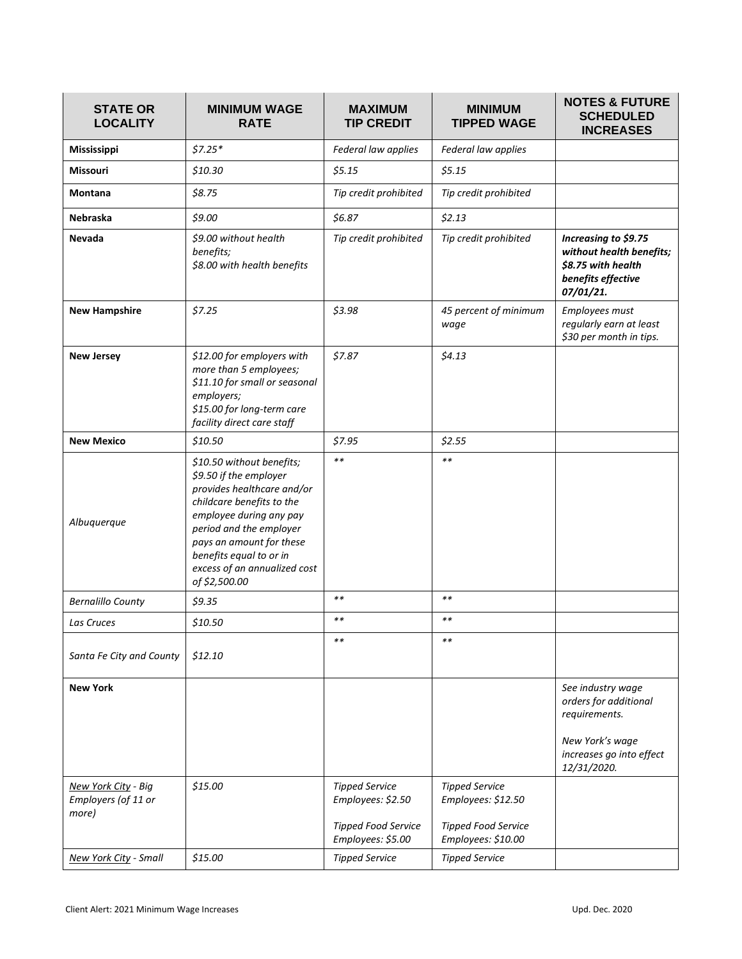| <b>STATE OR</b><br><b>LOCALITY</b>                  | <b>MINIMUM WAGE</b><br><b>RATE</b>                                                                                                                                                                                                                                           | <b>MAXIMUM</b><br><b>TIP CREDIT</b>                                                           | <b>MINIMUM</b><br><b>TIPPED WAGE</b>                                                            | <b>NOTES &amp; FUTURE</b><br><b>SCHEDULED</b><br><b>INCREASES</b>                                                         |
|-----------------------------------------------------|------------------------------------------------------------------------------------------------------------------------------------------------------------------------------------------------------------------------------------------------------------------------------|-----------------------------------------------------------------------------------------------|-------------------------------------------------------------------------------------------------|---------------------------------------------------------------------------------------------------------------------------|
| Mississippi                                         | $$7.25*$                                                                                                                                                                                                                                                                     | Federal law applies                                                                           | Federal law applies                                                                             |                                                                                                                           |
| <b>Missouri</b>                                     | \$10.30                                                                                                                                                                                                                                                                      | \$5.15                                                                                        | \$5.15                                                                                          |                                                                                                                           |
| <b>Montana</b>                                      | \$8.75                                                                                                                                                                                                                                                                       | Tip credit prohibited                                                                         | Tip credit prohibited                                                                           |                                                                                                                           |
| Nebraska                                            | \$9.00                                                                                                                                                                                                                                                                       | \$6.87                                                                                        | \$2.13                                                                                          |                                                                                                                           |
| <b>Nevada</b>                                       | \$9.00 without health<br>benefits;<br>\$8.00 with health benefits                                                                                                                                                                                                            | Tip credit prohibited                                                                         | Tip credit prohibited                                                                           | Increasing to \$9.75<br>without health benefits;<br>\$8.75 with health<br>benefits effective<br>07/01/21.                 |
| <b>New Hampshire</b>                                | \$7.25                                                                                                                                                                                                                                                                       | \$3.98                                                                                        | 45 percent of minimum<br>wage                                                                   | Employees must<br>regularly earn at least<br>\$30 per month in tips.                                                      |
| <b>New Jersey</b>                                   | \$12.00 for employers with<br>more than 5 employees;<br>\$11.10 for small or seasonal<br>employers;<br>\$15.00 for long-term care<br>facility direct care staff                                                                                                              | \$7.87                                                                                        | \$4.13                                                                                          |                                                                                                                           |
| <b>New Mexico</b>                                   | \$10.50                                                                                                                                                                                                                                                                      | \$7.95                                                                                        | \$2.55                                                                                          |                                                                                                                           |
| Albuquerque                                         | \$10.50 without benefits;<br>\$9.50 if the employer<br>provides healthcare and/or<br>childcare benefits to the<br>employee during any pay<br>period and the employer<br>pays an amount for these<br>benefits equal to or in<br>excess of an annualized cost<br>of \$2,500.00 | $***$                                                                                         | $**$                                                                                            |                                                                                                                           |
| <b>Bernalillo County</b>                            | \$9.35                                                                                                                                                                                                                                                                       | $**$                                                                                          | $\ast\ast$                                                                                      |                                                                                                                           |
| Las Cruces                                          | \$10.50                                                                                                                                                                                                                                                                      | $**$                                                                                          | $\ast\ast$                                                                                      |                                                                                                                           |
| Santa Fe City and County                            | \$12.10                                                                                                                                                                                                                                                                      | $***$                                                                                         | $* *$                                                                                           |                                                                                                                           |
| <b>New York</b>                                     |                                                                                                                                                                                                                                                                              |                                                                                               |                                                                                                 | See industry wage<br>orders for additional<br>requirements.<br>New York's wage<br>increases go into effect<br>12/31/2020. |
| New York City - Big<br>Employers (of 11 or<br>more) | \$15.00                                                                                                                                                                                                                                                                      | <b>Tipped Service</b><br>Employees: \$2.50<br><b>Tipped Food Service</b><br>Employees: \$5.00 | <b>Tipped Service</b><br>Employees: \$12.50<br><b>Tipped Food Service</b><br>Employees: \$10.00 |                                                                                                                           |
| New York City - Small                               | \$15.00                                                                                                                                                                                                                                                                      | <b>Tipped Service</b>                                                                         | <b>Tipped Service</b>                                                                           |                                                                                                                           |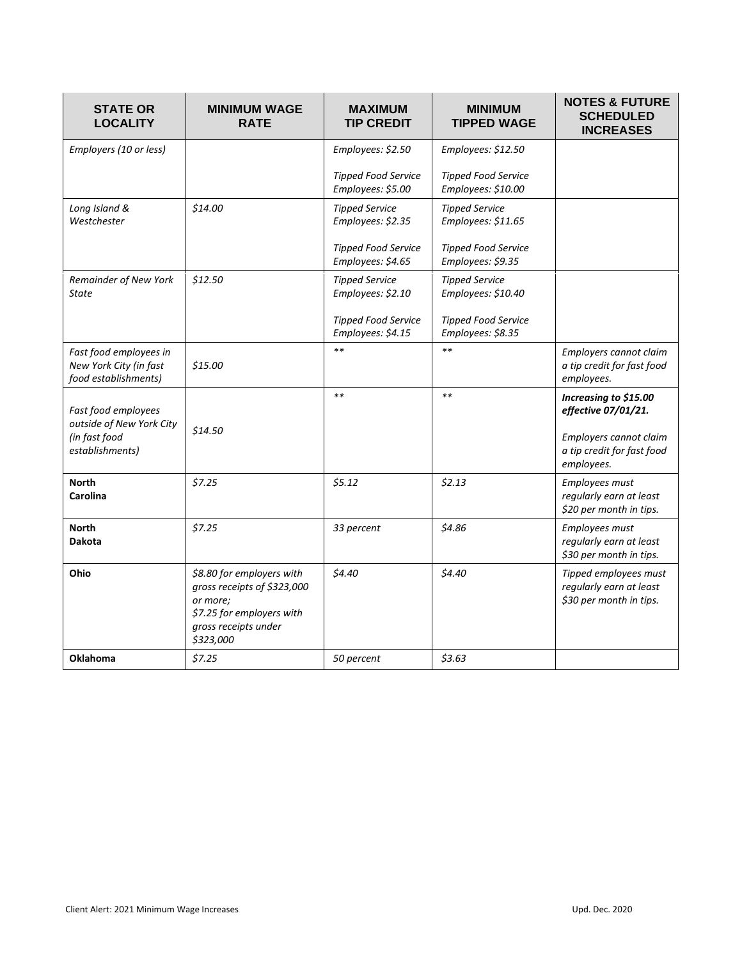| <b>STATE OR</b><br><b>LOCALITY</b>                                                  | <b>MINIMUM WAGE</b><br><b>RATE</b>                                                                                                     | <b>MAXIMUM</b><br><b>TIP CREDIT</b>                                                           | <b>MINIMUM</b><br><b>TIPPED WAGE</b>                                                           | <b>NOTES &amp; FUTURE</b><br><b>SCHEDULED</b><br><b>INCREASES</b>                                                  |
|-------------------------------------------------------------------------------------|----------------------------------------------------------------------------------------------------------------------------------------|-----------------------------------------------------------------------------------------------|------------------------------------------------------------------------------------------------|--------------------------------------------------------------------------------------------------------------------|
| Employers (10 or less)                                                              |                                                                                                                                        | Employees: \$2.50<br><b>Tipped Food Service</b><br>Employees: \$5.00                          | Employees: \$12.50<br><b>Tipped Food Service</b><br>Employees: \$10.00                         |                                                                                                                    |
| Long Island &<br>Westchester                                                        | \$14.00                                                                                                                                | <b>Tipped Service</b><br>Employees: \$2.35<br><b>Tipped Food Service</b><br>Employees: \$4.65 | <b>Tipped Service</b><br>Employees: \$11.65<br><b>Tipped Food Service</b><br>Employees: \$9.35 |                                                                                                                    |
| Remainder of New York<br><b>State</b>                                               | \$12.50                                                                                                                                | <b>Tipped Service</b><br>Employees: \$2.10<br><b>Tipped Food Service</b><br>Employees: \$4.15 | <b>Tipped Service</b><br>Employees: \$10.40<br><b>Tipped Food Service</b><br>Employees: \$8.35 |                                                                                                                    |
| Fast food employees in<br>New York City (in fast<br>food establishments)            | \$15.00                                                                                                                                | $**$                                                                                          | $**$                                                                                           | Employers cannot claim<br>a tip credit for fast food<br>employees.                                                 |
| Fast food employees<br>outside of New York City<br>(in fast food<br>establishments) | \$14.50                                                                                                                                | $**$                                                                                          | $**$                                                                                           | Increasing to \$15.00<br>effective 07/01/21.<br>Employers cannot claim<br>a tip credit for fast food<br>employees. |
| <b>North</b><br><b>Carolina</b>                                                     | \$7.25                                                                                                                                 | \$5.12                                                                                        | \$2.13                                                                                         | Employees must<br>regularly earn at least<br>\$20 per month in tips.                                               |
| <b>North</b><br><b>Dakota</b>                                                       | \$7.25                                                                                                                                 | 33 percent                                                                                    | \$4.86                                                                                         | Employees must<br>regularly earn at least<br>\$30 per month in tips.                                               |
| Ohio                                                                                | \$8.80 for employers with<br>gross receipts of \$323,000<br>or more;<br>\$7.25 for employers with<br>gross receipts under<br>\$323,000 | \$4.40                                                                                        | \$4.40                                                                                         | Tipped employees must<br>regularly earn at least<br>\$30 per month in tips.                                        |
| <b>Oklahoma</b>                                                                     | \$7.25                                                                                                                                 | 50 percent                                                                                    | \$3.63                                                                                         |                                                                                                                    |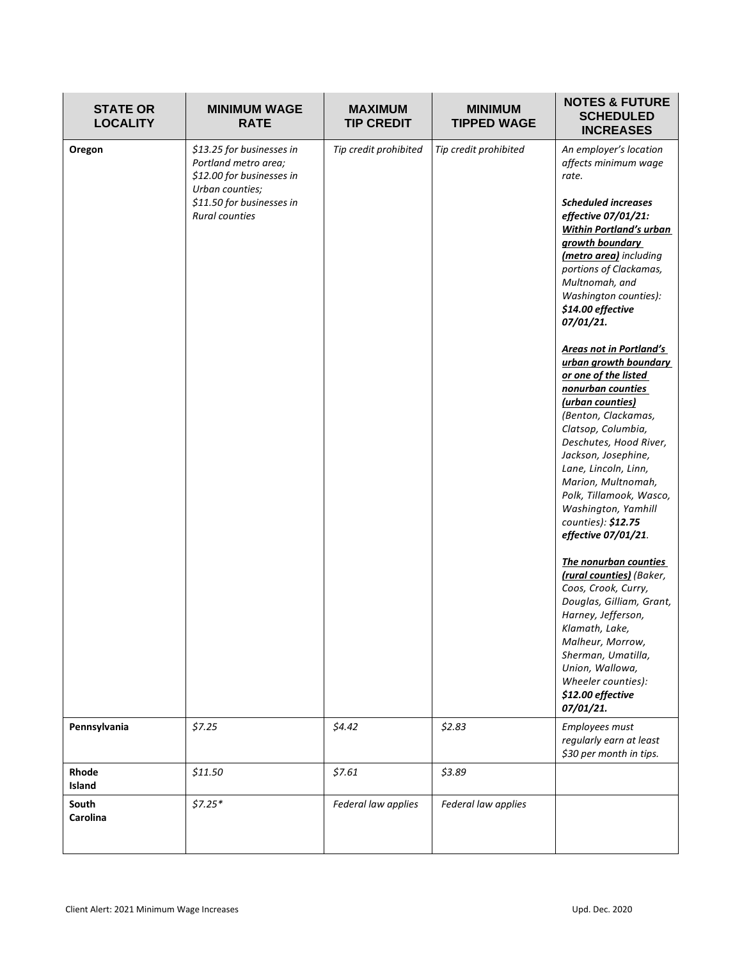| <b>STATE OR</b><br><b>LOCALITY</b> | <b>MINIMUM WAGE</b><br><b>RATE</b>                                                                                                                      | <b>MAXIMUM</b><br><b>TIP CREDIT</b> | <b>MINIMUM</b><br><b>TIPPED WAGE</b> | <b>NOTES &amp; FUTURE</b><br><b>SCHEDULED</b><br><b>INCREASES</b>                                                                                                                                                                                                                                                                                                                                                                                                                                                                                                                                                                                                                                                                                                                                                                                                                                                                       |
|------------------------------------|---------------------------------------------------------------------------------------------------------------------------------------------------------|-------------------------------------|--------------------------------------|-----------------------------------------------------------------------------------------------------------------------------------------------------------------------------------------------------------------------------------------------------------------------------------------------------------------------------------------------------------------------------------------------------------------------------------------------------------------------------------------------------------------------------------------------------------------------------------------------------------------------------------------------------------------------------------------------------------------------------------------------------------------------------------------------------------------------------------------------------------------------------------------------------------------------------------------|
| Oregon                             | \$13.25 for businesses in<br>Portland metro area;<br>\$12.00 for businesses in<br>Urban counties;<br>\$11.50 for businesses in<br><b>Rural counties</b> | Tip credit prohibited               | Tip credit prohibited                | An employer's location<br>affects minimum wage<br>rate.<br><b>Scheduled increases</b><br>effective 07/01/21:<br><b>Within Portland's urban</b><br>growth boundary<br>(metro area) including<br>portions of Clackamas,<br>Multnomah, and<br>Washington counties):<br>\$14.00 effective<br>07/01/21.<br>Areas not in Portland's<br>urban growth boundary<br>or one of the listed<br>nonurban counties<br>(urban counties)<br>(Benton, Clackamas,<br>Clatsop, Columbia,<br>Deschutes, Hood River,<br>Jackson, Josephine,<br>Lane, Lincoln, Linn,<br>Marion, Multnomah,<br>Polk, Tillamook, Wasco,<br>Washington, Yamhill<br>counties): \$12.75<br>effective 07/01/21.<br>The nonurban counties<br>(rural counties) (Baker,<br>Coos, Crook, Curry,<br>Douglas, Gilliam, Grant,<br>Harney, Jefferson,<br>Klamath, Lake,<br>Malheur, Morrow,<br>Sherman, Umatilla,<br>Union, Wallowa,<br>Wheeler counties):<br>\$12.00 effective<br>07/01/21. |
| Pennsylvania                       | \$7.25                                                                                                                                                  | \$4.42                              | \$2.83                               | Employees must<br>regularly earn at least<br>\$30 per month in tips.                                                                                                                                                                                                                                                                                                                                                                                                                                                                                                                                                                                                                                                                                                                                                                                                                                                                    |
| Rhode<br>Island                    | \$11.50                                                                                                                                                 | \$7.61                              | \$3.89                               |                                                                                                                                                                                                                                                                                                                                                                                                                                                                                                                                                                                                                                                                                                                                                                                                                                                                                                                                         |
| South<br>Carolina                  | $$7.25*$                                                                                                                                                | Federal law applies                 | Federal law applies                  |                                                                                                                                                                                                                                                                                                                                                                                                                                                                                                                                                                                                                                                                                                                                                                                                                                                                                                                                         |